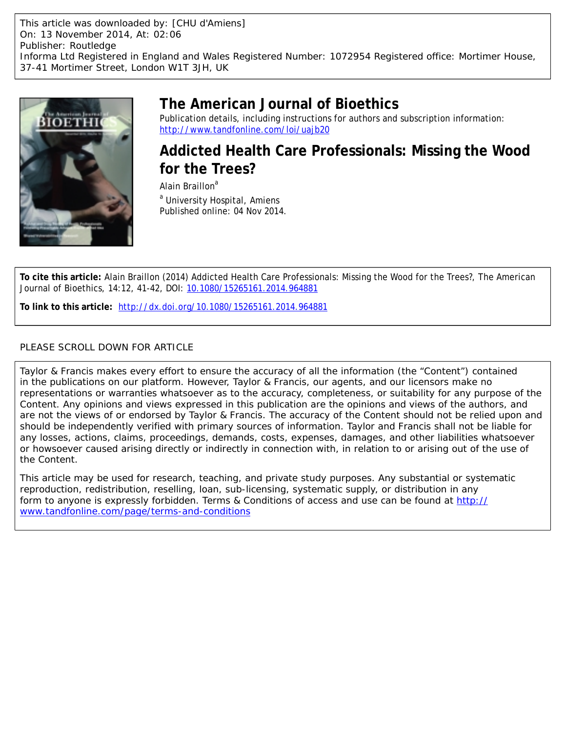This article was downloaded by: [CHU d'Amiens] On: 13 November 2014, At: 02:06 Publisher: Routledge Informa Ltd Registered in England and Wales Registered Number: 1072954 Registered office: Mortimer House, 37-41 Mortimer Street, London W1T 3JH, UK



## **The American Journal of Bioethics**

Publication details, including instructions for authors and subscription information: <http://www.tandfonline.com/loi/uajb20>

**Addicted Health Care Professionals: Missing the Wood for the Trees?**

Alain Braillon<sup>a</sup> <sup>a</sup> University Hospital, Amiens Published online: 04 Nov 2014.

**To cite this article:** Alain Braillon (2014) Addicted Health Care Professionals: Missing the Wood for the Trees?, The American Journal of Bioethics, 14:12, 41-42, DOI: [10.1080/15265161.2014.964881](http://www.tandfonline.com/action/showCitFormats?doi=10.1080/15265161.2014.964881)

**To link to this article:** <http://dx.doi.org/10.1080/15265161.2014.964881>

### PLEASE SCROLL DOWN FOR ARTICLE

Taylor & Francis makes every effort to ensure the accuracy of all the information (the "Content") contained in the publications on our platform. However, Taylor & Francis, our agents, and our licensors make no representations or warranties whatsoever as to the accuracy, completeness, or suitability for any purpose of the Content. Any opinions and views expressed in this publication are the opinions and views of the authors, and are not the views of or endorsed by Taylor & Francis. The accuracy of the Content should not be relied upon and should be independently verified with primary sources of information. Taylor and Francis shall not be liable for any losses, actions, claims, proceedings, demands, costs, expenses, damages, and other liabilities whatsoever or howsoever caused arising directly or indirectly in connection with, in relation to or arising out of the use of the Content.

This article may be used for research, teaching, and private study purposes. Any substantial or systematic reproduction, redistribution, reselling, loan, sub-licensing, systematic supply, or distribution in any form to anyone is expressly forbidden. Terms & Conditions of access and use can be found at [http://](http://www.tandfonline.com/page/terms-and-conditions) [www.tandfonline.com/page/terms-and-conditions](http://www.tandfonline.com/page/terms-and-conditions)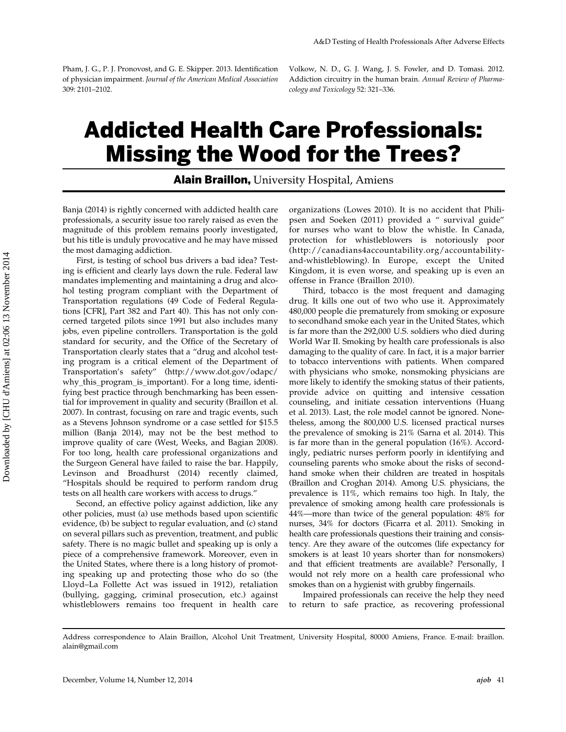Pham, J. G., P. J. Pronovost, and G. E. Skipper. 2013. Identification of physician impairment. Journal of the American Medical Association 309: 2101–2102.

Volkow, N. D., G. J. Wang, J. S. Fowler, and D. Tomasi. 2012. Addiction circuitry in the human brain. Annual Review of Pharmacology and Toxicology 52: 321–336.

# Addicted Health Care Professionals: Missing the Wood for the Trees?

#### **Alain Braillon, University Hospital, Amiens**

Banja (2014) is rightly concerned with addicted health care professionals, a security issue too rarely raised as even the magnitude of this problem remains poorly investigated, but his title is unduly provocative and he may have missed the most damaging addiction.

First, is testing of school bus drivers a bad idea? Testing is efficient and clearly lays down the rule. Federal law mandates implementing and maintaining a drug and alcohol testing program compliant with the Department of Transportation regulations (49 Code of Federal Regulations [CFR], Part 382 and Part 40). This has not only concerned targeted pilots since 1991 but also includes many jobs, even pipeline controllers. Transportation is the gold standard for security, and the Office of the Secretary of Transportation clearly states that a "drug and alcohol testing program is a critical element of the Department of Transportation's safety" [\(http://www.dot.gov/odapc/](http://www.dot.gov/odapc/why_this_program_is_important) [why\\_this\\_program\\_is\\_important\). For a long time, identi](http://www.dot.gov/odapc/why_this_program_is_important)[fying best practice through benchmarking has been essen](http://www.dot.gov/odapc/why_this_program_is_important)[tial for improvement in quality and security \(Braillon et al.](http://www.dot.gov/odapc/why_this_program_is_important) [2007\). In contrast, focusing on rare and tragic events, such](http://www.dot.gov/odapc/why_this_program_is_important) [as a Stevens Johnson syndrome or a case settled for \\$15.5](http://www.dot.gov/odapc/why_this_program_is_important) [million \(Banja 2014\), may not be the best method to](http://www.dot.gov/odapc/why_this_program_is_important) [improve quality of care \(West, Weeks, and Bagian 2008\).](http://www.dot.gov/odapc/why_this_program_is_important) [For too long, health care professional organizations and](http://www.dot.gov/odapc/why_this_program_is_important) [the Surgeon General have failed to raise the bar. Happily,](http://www.dot.gov/odapc/why_this_program_is_important) [Levinson and Broadhurst \(2014\) recently claimed,](http://www.dot.gov/odapc/why_this_program_is_important) ["Hospitals should be required to perform random drug](http://www.dot.gov/odapc/why_this_program_is_important) [tests on all health care workers with access to drugs.](http://www.dot.gov/odapc/why_this_program_is_important)"

Second, an effective policy against addiction, like any other policies, must (a) use methods based upon scientific evidence, (b) be subject to regular evaluation, and (c) stand on several pillars such as prevention, treatment, and public safety. There is no magic bullet and speaking up is only a piece of a comprehensive framework. Moreover, even in the United States, where there is a long history of promoting speaking up and protecting those who do so (the Lloyd–La Follette Act was issued in 1912), retaliation (bullying, gagging, criminal prosecution, etc.) against whistleblowers remains too frequent in health care organizations (Lowes 2010). It is no accident that Philipsen and Soeken (2011) provided a " survival guide" for nurses who want to blow the whistle. In Canada, protection for whistleblowers is notoriously poor (http://canadians4accountability.org/accountabilityand-whistleblowing). In Europe, except the United Kingdom, it is even worse, and speaking up is even an offense in France (Braillon 2010).

Third, tobacco is the most frequent and damaging drug. It kills one out of two who use it. Approximately 480,000 people die prematurely from smoking or exposure to secondhand smoke each year in the United States, which is far more than the 292,000 U.S. soldiers who died during World War II. Smoking by health care professionals is also damaging to the quality of care. In fact, it is a major barrier to tobacco interventions with patients. When compared with physicians who smoke, nonsmoking physicians are more likely to identify the smoking status of their patients, provide advice on quitting and intensive cessation counseling, and initiate cessation interventions (Huang et al. 2013). Last, the role model cannot be ignored. Nonetheless, among the 800,000 U.S. licensed practical nurses the prevalence of smoking is 21% (Sarna et al. 2014). This is far more than in the general population (16%). Accordingly, pediatric nurses perform poorly in identifying and counseling parents who smoke about the risks of secondhand smoke when their children are treated in hospitals (Braillon and Croghan 2014). Among U.S. physicians, the prevalence is 11%, which remains too high. In Italy, the prevalence of smoking among health care professionals is 44%—more than twice of the general population: 48% for nurses, 34% for doctors (Ficarra et al. 2011). Smoking in health care professionals questions their training and consistency. Are they aware of the outcomes (life expectancy for smokers is at least 10 years shorter than for nonsmokers) and that efficient treatments are available? Personally, I would not rely more on a health care professional who smokes than on a hygienist with grubby fingernails.

Impaired professionals can receive the help they need to return to safe practice, as recovering professional

Address correspondence to Alain Braillon, Alcohol Unit Treatment, University Hospital, 80000 Amiens, France. E-mail: braillon. alain@gmail.com